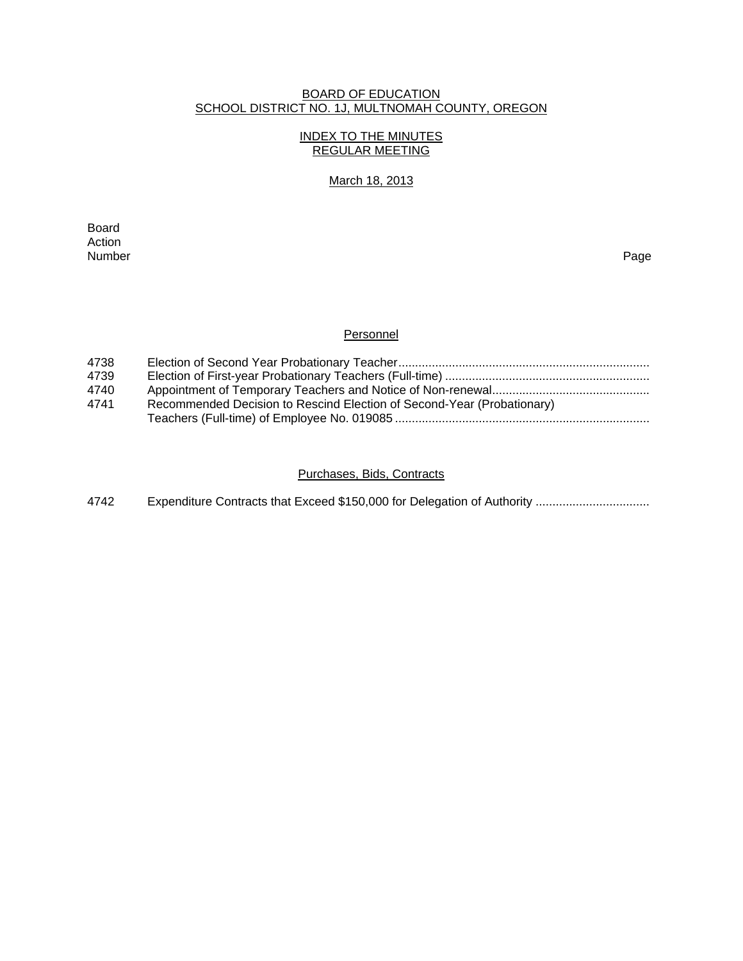# BOARD OF EDUCATION SCHOOL DISTRICT NO. 1J, MULTNOMAH COUNTY, OREGON

# INDEX TO THE MINUTES REGULAR MEETING

# March 18, 2013

**Board Board** Action<br>Number Number Page

# **Personnel**

| 4738 |                                                                        |
|------|------------------------------------------------------------------------|
| 4739 |                                                                        |
| 4740 |                                                                        |
| 4741 | Recommended Decision to Rescind Election of Second-Year (Probationary) |
|      |                                                                        |

# Purchases, Bids, Contracts

4742 Expenditure Contracts that Exceed \$150,000 for Delegation of Authority .................................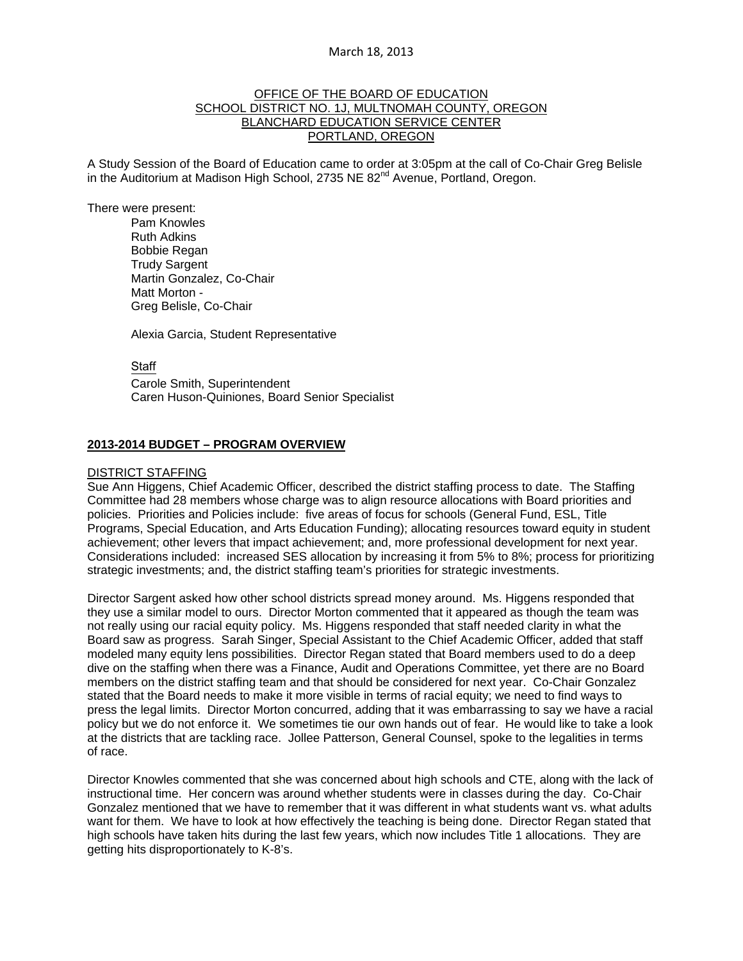### March 18, 2013

# OFFICE OF THE BOARD OF EDUCATION SCHOOL DISTRICT NO. 1J, MULTNOMAH COUNTY, OREGON BLANCHARD EDUCATION SERVICE CENTER PORTLAND, OREGON

A Study Session of the Board of Education came to order at 3:05pm at the call of Co-Chair Greg Belisle in the Auditorium at Madison High School, 2735 NE  $82<sup>nd</sup>$  Avenue, Portland, Oregon.

There were present: Pam Knowles

Ruth Adkins Bobbie Regan Trudy Sargent Martin Gonzalez, Co-Chair Matt Morton - Greg Belisle, Co-Chair

Alexia Garcia, Student Representative

**Staff** 

 Carole Smith, Superintendent Caren Huson-Quiniones, Board Senior Specialist

# **2013-2014 BUDGET – PROGRAM OVERVIEW**

#### DISTRICT STAFFING

Sue Ann Higgens, Chief Academic Officer, described the district staffing process to date. The Staffing Committee had 28 members whose charge was to align resource allocations with Board priorities and policies. Priorities and Policies include: five areas of focus for schools (General Fund, ESL, Title Programs, Special Education, and Arts Education Funding); allocating resources toward equity in student achievement; other levers that impact achievement; and, more professional development for next year. Considerations included: increased SES allocation by increasing it from 5% to 8%; process for prioritizing strategic investments; and, the district staffing team's priorities for strategic investments.

Director Sargent asked how other school districts spread money around. Ms. Higgens responded that they use a similar model to ours. Director Morton commented that it appeared as though the team was not really using our racial equity policy. Ms. Higgens responded that staff needed clarity in what the Board saw as progress. Sarah Singer, Special Assistant to the Chief Academic Officer, added that staff modeled many equity lens possibilities. Director Regan stated that Board members used to do a deep dive on the staffing when there was a Finance, Audit and Operations Committee, yet there are no Board members on the district staffing team and that should be considered for next year. Co-Chair Gonzalez stated that the Board needs to make it more visible in terms of racial equity; we need to find ways to press the legal limits. Director Morton concurred, adding that it was embarrassing to say we have a racial policy but we do not enforce it. We sometimes tie our own hands out of fear. He would like to take a look at the districts that are tackling race. Jollee Patterson, General Counsel, spoke to the legalities in terms of race.

Director Knowles commented that she was concerned about high schools and CTE, along with the lack of instructional time. Her concern was around whether students were in classes during the day. Co-Chair Gonzalez mentioned that we have to remember that it was different in what students want vs. what adults want for them. We have to look at how effectively the teaching is being done. Director Regan stated that high schools have taken hits during the last few years, which now includes Title 1 allocations. They are getting hits disproportionately to K-8's.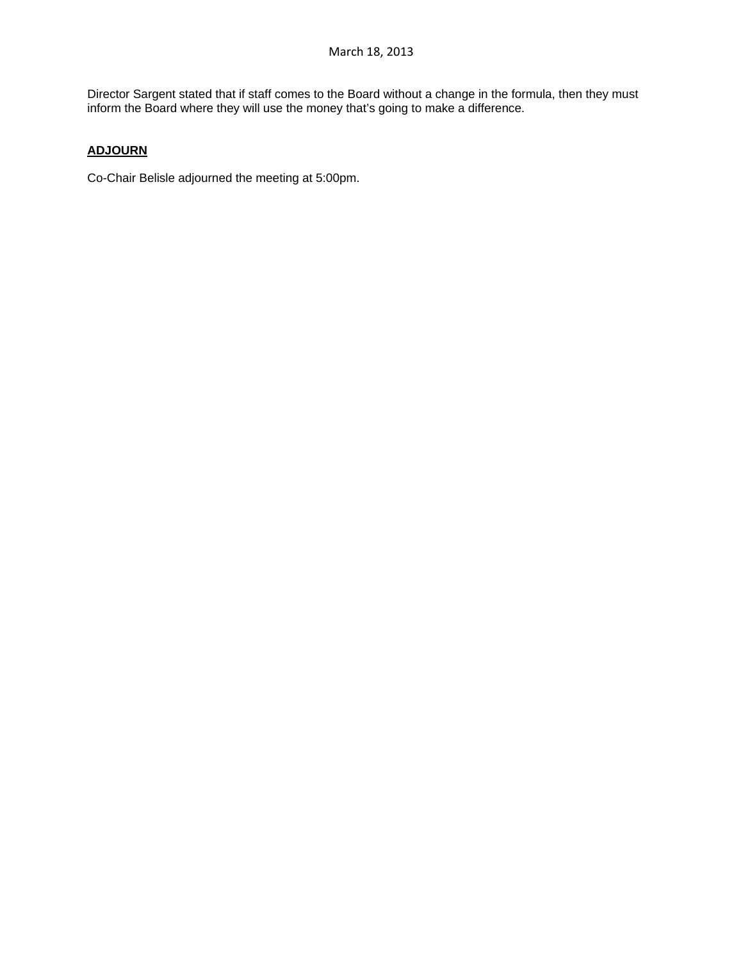Director Sargent stated that if staff comes to the Board without a change in the formula, then they must inform the Board where they will use the money that's going to make a difference.

# **ADJOURN**

Co-Chair Belisle adjourned the meeting at 5:00pm.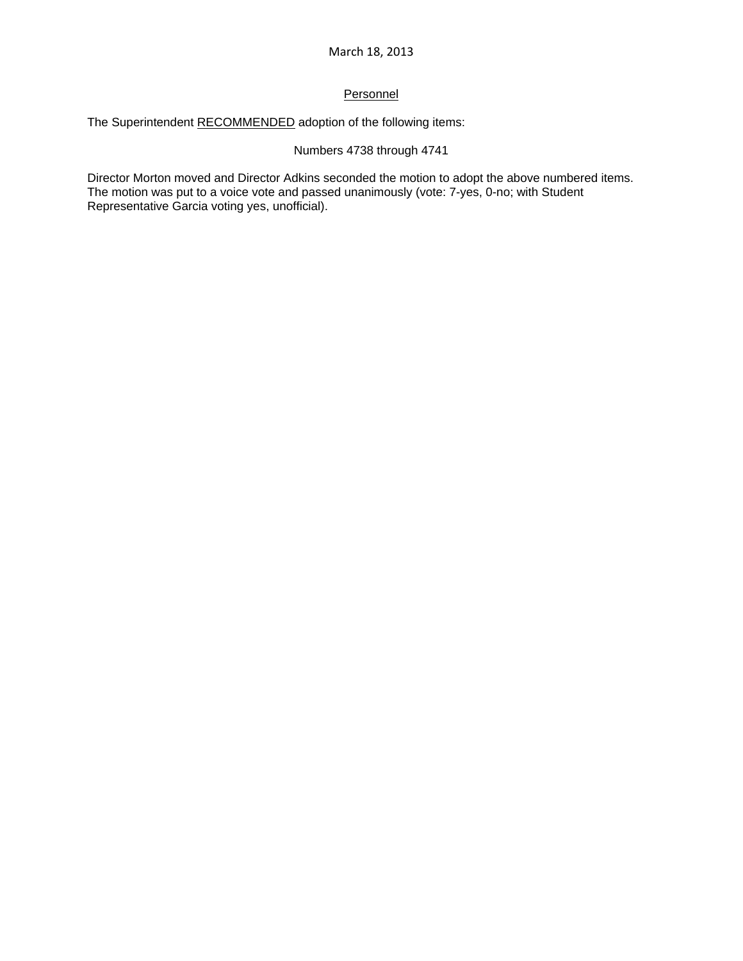# **Personnel**

The Superintendent RECOMMENDED adoption of the following items:

# Numbers 4738 through 4741

Director Morton moved and Director Adkins seconded the motion to adopt the above numbered items. The motion was put to a voice vote and passed unanimously (vote: 7-yes, 0-no; with Student Representative Garcia voting yes, unofficial).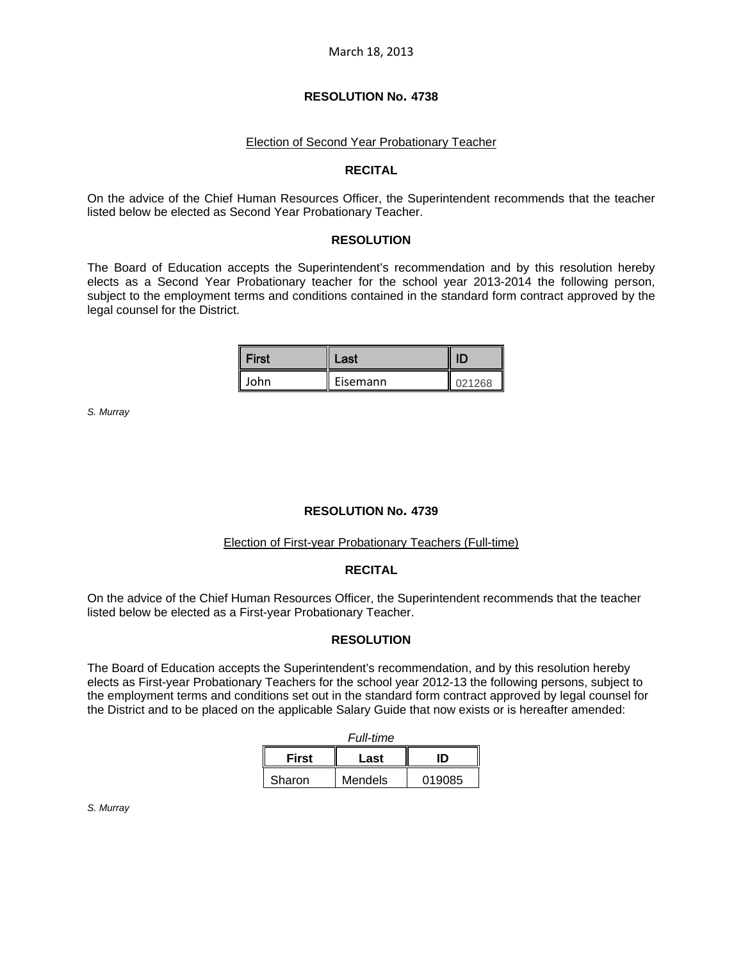#### **RESOLUTION No. 4738**

#### Election of Second Year Probationary Teacher

#### **RECITAL**

On the advice of the Chief Human Resources Officer, the Superintendent recommends that the teacher listed below be elected as Second Year Probationary Teacher.

#### **RESOLUTION**

The Board of Education accepts the Superintendent's recommendation and by this resolution hereby elects as a Second Year Probationary teacher for the school year 2013-2014 the following person, subject to the employment terms and conditions contained in the standard form contract approved by the legal counsel for the District.

| <b>First</b> | Last     |        |
|--------------|----------|--------|
| lohn         | Eisemann | 021268 |

*S. Murray* 

#### **RESOLUTION No. 4739**

#### Election of First-year Probationary Teachers (Full-time)

#### **RECITAL**

On the advice of the Chief Human Resources Officer, the Superintendent recommends that the teacher listed below be elected as a First-year Probationary Teacher.

#### **RESOLUTION**

The Board of Education accepts the Superintendent's recommendation, and by this resolution hereby elects as First-year Probationary Teachers for the school year 2012-13 the following persons, subject to the employment terms and conditions set out in the standard form contract approved by legal counsel for the District and to be placed on the applicable Salary Guide that now exists or is hereafter amended:

| <b>Full-time</b> |         |        |  |  |
|------------------|---------|--------|--|--|
| <b>First</b>     | Last    | חו     |  |  |
| Sharon           | Mendels | 019085 |  |  |

*S. Murray*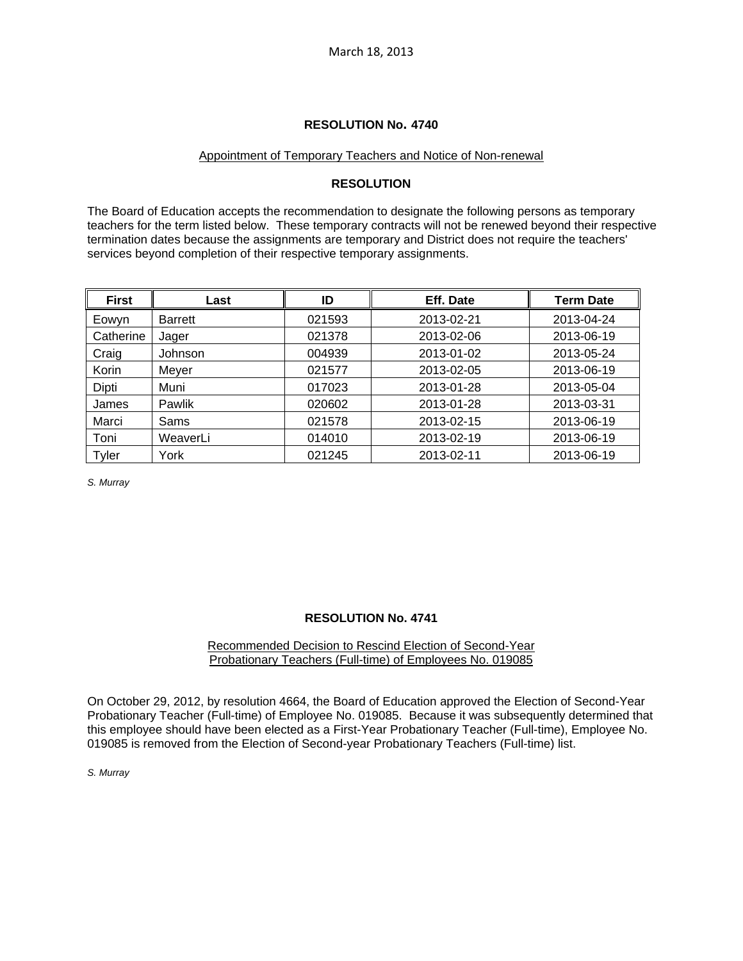## **RESOLUTION No. 4740**

#### Appointment of Temporary Teachers and Notice of Non-renewal

# **RESOLUTION**

The Board of Education accepts the recommendation to designate the following persons as temporary teachers for the term listed below. These temporary contracts will not be renewed beyond their respective termination dates because the assignments are temporary and District does not require the teachers' services beyond completion of their respective temporary assignments.

| <b>First</b> | Last           | ID     | Eff. Date  | <b>Term Date</b> |
|--------------|----------------|--------|------------|------------------|
| Eowyn        | <b>Barrett</b> | 021593 | 2013-02-21 | 2013-04-24       |
| Catherine    | Jager          | 021378 | 2013-02-06 | 2013-06-19       |
| Craig        | Johnson        | 004939 | 2013-01-02 | 2013-05-24       |
| Korin        | Meyer          | 021577 | 2013-02-05 | 2013-06-19       |
| Dipti        | Muni           | 017023 | 2013-01-28 | 2013-05-04       |
| James        | Pawlik         | 020602 | 2013-01-28 | 2013-03-31       |
| Marci        | Sams           | 021578 | 2013-02-15 | 2013-06-19       |
| Toni         | WeaverLi       | 014010 | 2013-02-19 | 2013-06-19       |
| Tyler        | York           | 021245 | 2013-02-11 | 2013-06-19       |

*S. Murray* 

# **RESOLUTION No. 4741**

#### Recommended Decision to Rescind Election of Second-Year Probationary Teachers (Full-time) of Employees No. 019085

On October 29, 2012, by resolution 4664, the Board of Education approved the Election of Second-Year Probationary Teacher (Full-time) of Employee No. 019085. Because it was subsequently determined that this employee should have been elected as a First-Year Probationary Teacher (Full-time), Employee No. 019085 is removed from the Election of Second-year Probationary Teachers (Full-time) list.

#### *S. Murray*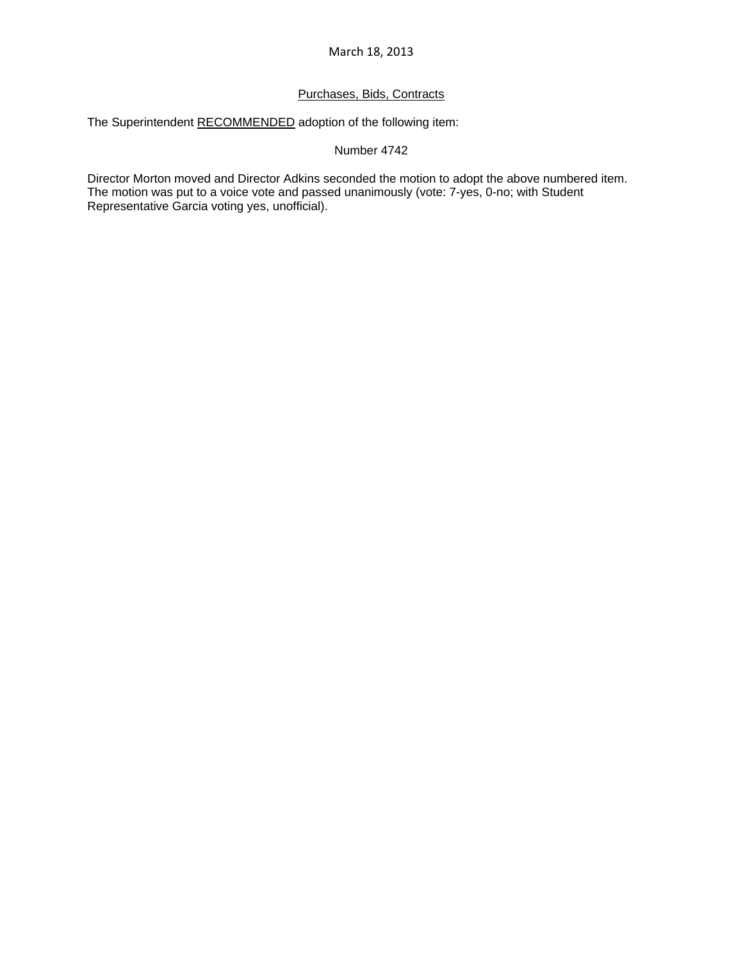# March 18, 2013

# Purchases, Bids, Contracts

The Superintendent RECOMMENDED adoption of the following item:

# Number 4742

Director Morton moved and Director Adkins seconded the motion to adopt the above numbered item. The motion was put to a voice vote and passed unanimously (vote: 7-yes, 0-no; with Student Representative Garcia voting yes, unofficial).